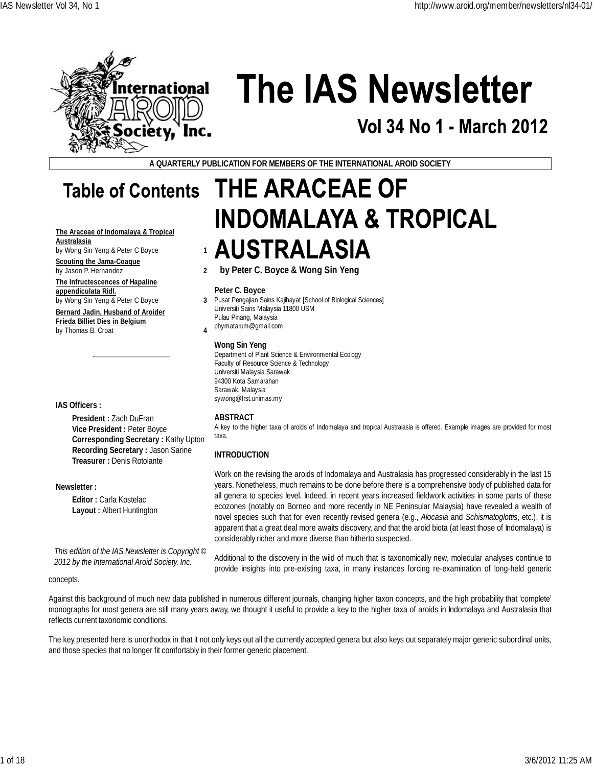

# **The IAS Newsletter**

## Vol 34 No 1 - March 2012

**A QUARTERLY PUBLICATION FOR MEMBERS OF THE INTERNATIONAL AROID SOCIETY**

**THE ARACEAE OF** 

**by Peter C. Boyce & Wong Sin Yeng**

**AUSTRALASIA** 

Pusat Pengajian Sains Kajihayat [School of Biological Sciences]

# **Table of Contents**

**The Araceae of Indomalaya & Tropical Australasia**

by Wong Sin Yeng & Peter C Boyce **1 Scouting the Jama-Coaque** by Jason P. Hernandez **2**

**The Infructescences of Hapaline appendiculata Ridl.**

by Wong Sin Yeng & Peter C Boyce **3 Bernard Jadin, Husband of Aroider Frieda Billiet Dies in Belgium** by Thomas B. Croat **4**

**IAS Officers :**

**President :** Zach DuFran **Vice President :** Peter Boyce **Corresponding Secretary :** Kathy Upton **Recording Secretary :** Jason Sarine **Treasurer :** Denis Rotolante

**Newsletter :**

**Editor :** Carla Kostelac **Layout :** Albert Huntington

*This edition of the IAS Newsletter is Copyright © 2012 by the International Aroid Society, Inc.*

### **Wong Sin Yeng** Department of Plant Science & Environmental Ecology Faculty of Resource Science & Technology Universiti Malaysia Sarawak 94300 Kota Samarahan Sarawak, Malaysia sywong@frst.unimas.my

**INDOMALAYA & TROPICAL** 

### **ABSTRACT**

**Peter C. Boyce**

Pulau Pinang, Malaysia phymatarum@gmail.com

Universiti Sains Malaysia 11800 USM

A key to the higher taxa of aroids of Indomalaya and tropical Australasia is offered. Example images are provided for most taxa.

### **INTRODUCTION**

Work on the revising the aroids of Indomalaya and Australasia has progressed considerably in the last 15 years. Nonetheless, much remains to be done before there is a comprehensive body of published data for all genera to species level. Indeed, in recent years increased fieldwork activities in some parts of these ecozones (notably on Borneo and more recently in NE Peninsular Malaysia) have revealed a wealth of novel species such that for even recently revised genera (e.g., *Alocasia* and *Schismatoglottis*, etc.), it is apparent that a great deal more awaits discovery, and that the aroid biota (at least those of Indomalaya) is considerably richer and more diverse than hitherto suspected.

Additional to the discovery in the wild of much that is taxonomically new, molecular analyses continue to provide insights into pre-existing taxa, in many instances forcing re-examination of long-held generic

### concepts.

Against this background of much new data published in numerous different journals, changing higher taxon concepts, and the high probability that 'complete' monographs for most genera are still many years away, we thought it useful to provide a key to the higher taxa of aroids in Indomalaya and Australasia that reflects current taxonomic conditions.

The key presented here is unorthodox in that it not only keys out all the currently accepted genera but also keys out separately major generic subordinal units, and those species that no longer fit comfortably in their former generic placement.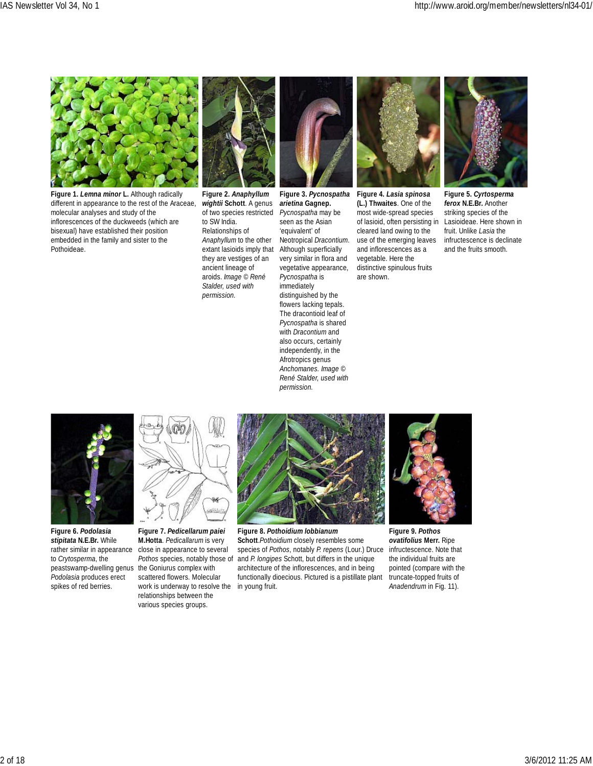

**Figure 1.** *Lemna minor* **L.** Although radically different in appearance to the rest of the Araceae, molecular analyses and study of the inflorescences of the duckweeds (which are bisexual) have established their position embedded in the family and sister to the Pothoideae.



**Figure 2.** *Anaphyllum wightii* **Schott**. A genus of two species restricted to SW India. Relationships of *Anaphyllum* to the other extant lasioids imply that they are vestiges of an ancient lineage of aroids. *Image © René Stalder, used with permission.*

**Figure 3.** *Pycnospatha arietina* **Gagnep.** *Pycnospatha* may be seen as the Asian 'equivalent' of Neotropical *Dracontium*. Although superficially very similar in flora and vegetative appearance, *Pycnospatha* is immediately distinguished by the flowers lacking tepals. The dracontioid leaf of *Pycnospatha* is shared with *Dracontium* and also occurs, certainly independently, in the Afrotropics genus *Anchomanes. Image © René Stalder, used with permission.*



**Figure 4.** *Lasia spinosa* **(L.) Thwaites**. One of the most wide-spread species of lasioid, often persisting in cleared land owing to the use of the emerging leaves and inflorescences as a vegetable. Here the distinctive spinulous fruits are shown.



**Figure 5.** *Cyrtosperma ferox* **N.E.Br.** Another striking species of the Lasioideae. Here shown in fruit. Unlike *Lasia* the infructescence is declinate and the fruits smooth.



**Figure 6.** *Podolasia stipitata* **N.E.Br.** While rather similar in appearance to *Crytosperma*, the peastswamp-dwelling genus the Goniurus complex with *Podolasia* produces erect spikes of red berries.



**Figure 7.** *Pedicellarum paiei* **M.Hotta**. *Pedicallarum* is very close in appearance to several *Pothos* species, notably those of scattered flowers. Molecular work is underway to resolve the in young fruit. relationships between the various species groups.



**Figure 8.** *Pothoidium lobbianum* **Schott**.*Pothoidium* closely resembles some species of *Pothos*, notably *P. repens* (Lour.) Druce and *P. longipes* Schott, but differs in the unique architecture of the inflorescences, and in being functionally dioecious. Pictured is a pistillate plant



**Figure 9.** *Pothos ovatifolius* **Merr.** Ripe infructescence. Note that the individual fruits are pointed (compare with the truncate-topped fruits of *Anadendrum* in Fig. 11).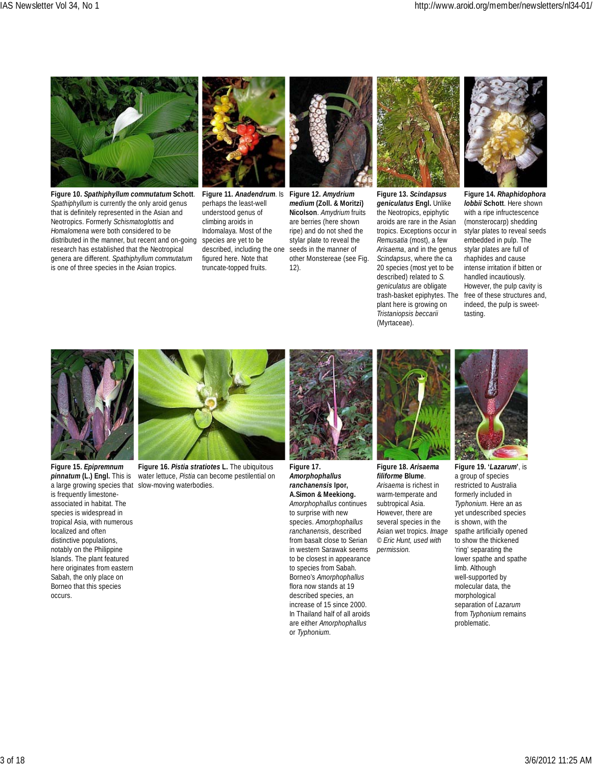

**Figure 10.** *Spathiphyllum commutatum* **Schott**. *Spathiphyllum* is currently the only aroid genus that is definitely represented in the Asian and Neotropics. Formerly *Schismatoglottis* and *Homalomena* were both considered to be distributed in the manner, but recent and on-going research has established that the Neotropical genera are different. *Spathiphyllum commutatum* is one of three species in the Asian tropics.



**Figure 11.** *Anadendrum*. Is perhaps the least-well understood genus of climbing aroids in Indomalaya. Most of the species are yet to be described, including the one figured here. Note that truncate-topped fruits.



*medium* **(Zoll. & Moritzi) Nicolson**. *Amydrium* fruits are berries (here shown ripe) and do not shed the stylar plate to reveal the seeds in the manner of other Monstereae (see Fig. 12).



**Figure 13.** *Scindapsus geniculatus* **Engl.** Unlike the Neotropics, epiphytic aroids are rare in the Asian tropics. Exceptions occur in *Remusatia* (most), a few *Arisaema*, and in the genus *Scindapsus*, where the ca 20 species (most yet to be described) related to *S. geniculatus* are obligate trash-basket epiphytes. The plant here is growing on *Tristaniopsis beccarii* (Myrtaceae).



**Figure 14.** *Rhaphidophora lobbii* **Schott**. Here shown with a ripe infructescence (monsterocarp) shedding stylar plates to reveal seeds embedded in pulp. The stylar plates are full of rhaphides and cause intense irritation if bitten or handled incautiously. However, the pulp cavity is free of these structures and, indeed, the pulp is sweettasting.



**Figure 15.** *Epipremnum pinnatum* **(L.) Engl.** This is a large growing species that slow-moving waterbodies. is frequently limestoneassociated in habitat. The species is widespread in tropical Asia, with numerous localized and often distinctive populations, notably on the Philippine Islands. The plant featured here originates from eastern Sabah, the only place on Borneo that this species occurs.



**Figure 16.** *Pistia stratiotes* **L.** The ubiquitous water lettuce, *Pistia* can become pestilential on



**Figure 17.** *Amorphophallus ranchanensis* **Ipor, A.Simon & Meekiong.** *Amorphophallus* continues to surprise with new species. *Amorphophallus ranchanensis*, described from basalt close to Serian in western Sarawak seems to be closest in appearance to species from Sabah. Borneo's *Amorphophallus* flora now stands at 19 described species, an increase of 15 since 2000. In Thailand half of all aroids are either *Amorphophallus* or *Typhonium*.



**Figure 18.** *Arisaema filiforme* **Blume**. *Arisaema* is richest in warm-temperate and subtropical Asia. However, there are several species in the Asian wet tropics. *Image © Eric Hunt, used with permission.*



**Figure 19. '***Lazarum***'**, is a group of species restricted to Australia formerly included in *Typhonium*. Here an as yet undescribed species is shown, with the spathe artificially opened to show the thickened 'ring' separating the lower spathe and spathe limb. Although well-supported by molecular data, the morphological separation of *Lazarum* from *Typhonium* remains problematic.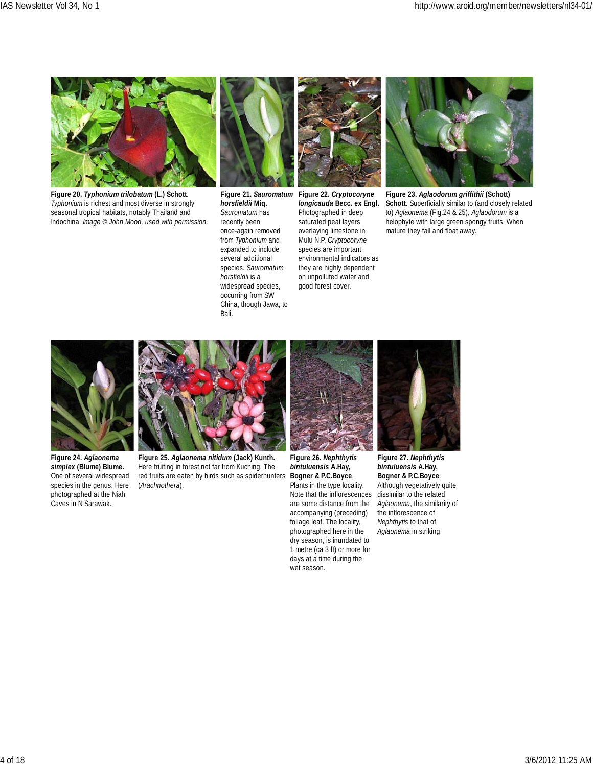

**Figure 20.** *Typhonium trilobatum* **(L.) Schott***. Typhonium* is richest and most diverse in strongly seasonal tropical habitats, notably Thailand and Indochina. *Image © John Mood, used with permission.*



*horsfieldii* **Miq.** *Sauromatum* has recently been once-again removed from *Typhonium* and expanded to include several additional species. *Sauromatum horsfieldii* is a widespread species, occurring from SW China, though Jawa, to Bali.

**Figure 21.** *Sauromatum* **Figure 22.** *Cryptocoryne longicauda* **Becc. ex Engl.** Photographed in deep saturated peat layers overlaying limestone in Mulu N.P. *Cryptocoryne* species are important environmental indicators as they are highly dependent on unpolluted water and good forest cover.



**Figure 23.** *Aglaodorum griffithii* **(Schott) Schott**. Superficially similar to (and closely related to) *Aglaonema* (Fig.24 & 25), *Aglaodorum* is a helophyte with large green spongy fruits. When mature they fall and float away.



**Figure 24.** *Aglaonema simplex* **(Blume) Blume.** One of several widespread species in the genus. Here photographed at the Niah Caves in N Sarawak.



**Figure 25.** *Aglaonema nitidum* **(Jack) Kunth.** Here fruiting in forest not far from Kuching. The red fruits are eaten by birds such as spiderhunters (*Arachnothera*).



**Figure 26.** *Nephthytis bintuluensis* **A.Hay, Bogner & P.C.Boyce**. Plants in the type locality. Note that the inflorescences are some distance from the accompanying (preceding) foliage leaf. The locality, photographed here in the dry season, is inundated to 1 metre (ca 3 ft) or more for days at a time during the wet season.



**Figure 27.** *Nephthytis bintuluensis* **A.Hay, Bogner & P.C.Boyce**. Although vegetatively quite dissimilar to the related *Aglaonema*, the similarity of the inflorescence of *Nephthytis* to that of *Aglaonema* in striking.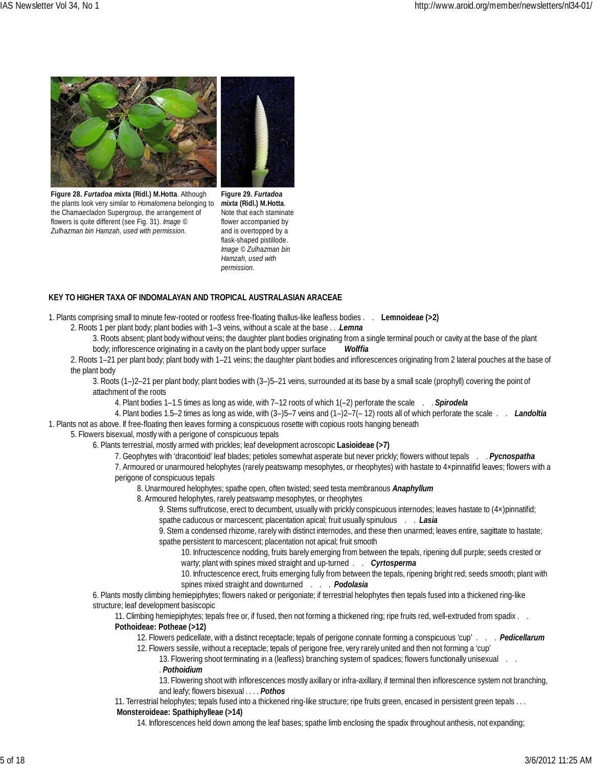

**Figure 28.** *Furtadoa mixta* **(Ridl.) M.Hotta**. Although the plants look very similar to *Homalomena* belonging to the Chamaecladon Supergroup, the arrangement of flowers is quite different (see Fig. 31). *Image © Zulhazman bin Hamzah, used with permission.*

**Figure 29.** *Furtadoa mixta* **(Ridl.) M.Hotta**. Note that each staminate flower accompanied by and is overtopped by a flask-shaped pistillode. *Image © Zulhazman bin Hamzah, used with permission.*

### **KEY TO HIGHER TAXA OF INDOMALAYAN AND TROPICAL AUSTRALASIAN ARACEAE**

1. Plants comprising small to minute few-rooted or rootless free-floating thallus-like leafless bodies . . **Lemnoideae (>2)**

2. Roots 1 per plant body; plant bodies with 1–3 veins, without a scale at the base . . .*Lemna*

- 3. Roots absent; plant body without veins; the daughter plant bodies originating from a single terminal pouch or cavity at the base of the plant body; inflorescence originating in a cavity on the plant body upper surface *Wolffia*
- 2. Roots 1–21 per plant body; plant body with 1–21 veins; the daughter plant bodies and inflorescences originating from 2 lateral pouches at the base of the plant body
	- 3. Roots (1–)2–21 per plant body; plant bodies with (3–)5–21 veins, surrounded at its base by a small scale (prophyll) covering the point of attachment of the roots
		- 4. Plant bodies 1–1.5 times as long as wide, with 7–12 roots of which 1(–2) perforate the scale . . *Spirodela*
- 4. Plant bodies 1.5–2 times as long as wide, with (3–)5–7 veins and (1–)2–7(– 12) roots all of which perforate the scale . . *Landoltia* 1. Plants not as above. If free-floating then leaves forming a conspicuous rosette with copious roots hanging beneath
	- 5. Flowers bisexual, mostly with a perigone of conspicuous tepals
		- 6. Plants terrestrial, mostly armed with prickles; leaf development acroscopic **Lasioideae (>7)**
			- 7. Geophytes with 'dracontioid' leaf blades; petioles somewhat asperate but never prickly; flowers without tepals . . *Pycnospatha*
			- 7. Armoured or unarmoured helophytes (rarely peatswamp mesophytes, or rheophytes) with hastate to 4×pinnatifid leaves; flowers with a perigone of conspicuous tepals
				- 8. Unarmoured helophytes; spathe open, often twisted; seed testa membranous *Anaphyllum*

8. Armoured helophytes, rarely peatswamp mesophytes, or rheophytes

- 9. Stems suffruticose, erect to decumbent, usually with prickly conspicuous internodes; leaves hastate to (4×)pinnatifid; spathe caducous or marcescent; placentation apical; fruit usually spinulous . . *Lasia*
- 9. Stem a condensed rhizome, rarely with distinct internodes, and these then unarmed; leaves entire, sagittate to hastate; spathe persistent to marcescent; placentation not apical; fruit smooth
	- 10. Infructescence nodding, fruits barely emerging from between the tepals, ripening dull purple; seeds crested or warty; plant with spines mixed straight and up-turned . . *Cyrtosperma*
	- 10. Infructescence erect, fruits emerging fully from between the tepals, ripening bright red; seeds smooth; plant with spines mixed straight and downturned . . . *Podolasia*
- 6. Plants mostly climbing hemiepiphytes; flowers naked or perigoniate; if terrestrial helophytes then tepals fused into a thickened ring-like structure; leaf development basiscopic
	- 11. Climbing hemiepiphytes; tepals free or, if fused, then not forming a thickened ring; ripe fruits red, well-extruded from spadix . . **Pothoideae: Potheae (>12)** 
		- 12. Flowers pedicellate, with a distinct receptacle; tepals of perigone connate forming a conspicuous 'cup' . . . *Pedicellarum*
			- 12. Flowers sessile, without a receptacle; tepals of perigone free, very rarely united and then not forming a 'cup'
				- 13. Flowering shoot terminating in a (leafless) branching system of spadices; flowers functionally unisexual . . . *Pothoidium*
				- 13. Flowering shoot with inflorescences mostly axillary or infra-axillary, if terminal then inflorescence system not branching, and leafy; flowers bisexual . . . . *Pothos*
	- 11. Terrestrial helophytes; tepals fused into a thickened ring-like structure; ripe fruits green, encased in persistent green tepals . . . **Monsteroideae: Spathiphylleae (>14)**
		- 14. Inflorescences held down among the leaf bases; spathe limb enclosing the spadix throughout anthesis, not expanding;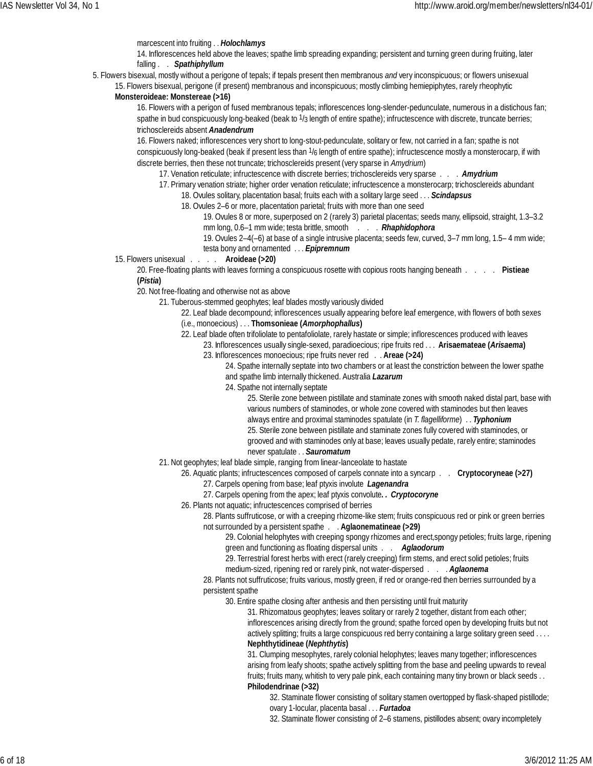### marcescent into fruiting . . *Holochlamys*

14. Inflorescences held above the leaves; spathe limb spreading expanding; persistent and turning green during fruiting, later falling . . *Spathiphyllum*

5. Flowers bisexual, mostly without a perigone of tepals; if tepals present then membranous *and* very inconspicuous; or flowers unisexual

15. Flowers bisexual, perigone (if present) membranous and inconspicuous; mostly climbing hemiepiphytes, rarely rheophytic

### **Monsteroideae: Monstereae (>16)**

16. Flowers with a perigon of fused membranous tepals; inflorescences long-slender-pedunculate, numerous in a distichous fan; spathe in bud conspicuously long-beaked (beak to  $1/3$  length of entire spathe); infructescence with discrete, truncate berries; trichosclereids absent *Anadendrum*

16. Flowers naked; inflorescences very short to long-stout-pedunculate, solitary or few, not carried in a fan; spathe is not conspicuously long-beaked (beak if present less than 1/6 length of entire spathe); infructescence mostly a monsterocarp, if with discrete berries, then these not truncate; trichosclereids present (very sparse in *Amydrium*)

17. Venation reticulate; infructescence with discrete berries; trichosclereids very sparse . . . *Amydrium*

- 17. Primary venation striate; higher order venation reticulate; infructescence a monsterocarp; trichosclereids abundant
	- 18. Ovules solitary, placentation basal; fruits each with a solitary large seed . . . *Scindapsus*
		- 18. Ovules 2–6 or more, placentation parietal; fruits with more than one seed

19. Ovules 8 or more, superposed on 2 (rarely 3) parietal placentas; seeds many, ellipsoid, straight, 1.3–3.2

mm long, 0.6–1 mm wide; testa brittle, smooth . . . *Rhaphidophora*

19. Ovules 2–4(–6) at base of a single intrusive placenta; seeds few, curved, 3–7 mm long, 1.5– 4 mm wide; testa bony and ornamented . . . *Epipremnum*

15. Flowers unisexual . . . . **Aroideae (>20)**

20. Free-floating plants with leaves forming a conspicuous rosette with copious roots hanging beneath . . . . **Pistieae (***Pistia***)**

20. Not free-floating and otherwise not as above

- 21. Tuberous-stemmed geophytes; leaf blades mostly variously divided
	- 22. Leaf blade decompound; inflorescences usually appearing before leaf emergence, with flowers of both sexes
	- (i.e., monoecious) . . . **Thomsonieae (***Amorphophallus***)**
	- 22. Leaf blade often trifoliolate to pentafoliolate, rarely hastate or simple; inflorescences produced with leaves 23. Inflorescences usually single-sexed, paradioecious; ripe fruits red . . . **Arisaemateae (***Arisaema***)**
		- 23. Inflorescences monoecious; ripe fruits never red . . **Areae (>24)**
			- 24. Spathe internally septate into two chambers or at least the constriction between the lower spathe and spathe limb internally thickened. Australia *Lazarum*

24. Spathe not internally septate

25. Sterile zone between pistillate and staminate zones with smooth naked distal part, base with various numbers of staminodes, or whole zone covered with staminodes but then leaves always entire and proximal staminodes spatulate (in *T. flagelliforme*) . . *Typhonium* 25. Sterile zone between pistillate and staminate zones fully covered with staminodes, or grooved and with staminodes only at base; leaves usually pedate, rarely entire; staminodes never spatulate . . *Sauromatum*

21. Not geophytes; leaf blade simple, ranging from linear-lanceolate to hastate

26. Aquatic plants; infructescences composed of carpels connate into a syncarp . . **Cryptocoryneae (>27)**

- 27. Carpels opening from base; leaf ptyxis involute *Lagenandra*
- 27. Carpels opening from the apex; leaf ptyxis convolute*. . Cryptocoryne*
- 26. Plants not aquatic; infructescences comprised of berries

28. Plants suffruticose, or with a creeping rhizome-like stem; fruits conspicuous red or pink or green berries not surrounded by a persistent spathe . . **Aglaonematineae (>29)**

29. Colonial helophytes with creeping spongy rhizomes and erect,spongy petioles; fruits large, ripening green and functioning as floating dispersal units . . *Aglaodorum*

29. Terrestrial forest herbs with erect (rarely creeping) firm stems, and erect solid petioles; fruits

medium-sized, ripening red or rarely pink, not water-dispersed . . . *Aglaonema*

28. Plants not suffruticose; fruits various, mostly green, if red or orange-red then berries surrounded by a persistent spathe

30. Entire spathe closing after anthesis and then persisting until fruit maturity

31. Rhizomatous geophytes; leaves solitary or rarely 2 together, distant from each other; inflorescences arising directly from the ground; spathe forced open by developing fruits but not actively splitting; fruits a large conspicuous red berry containing a large solitary green seed . . . . **Nephthytidineae (***Nephthytis***)**

31. Clumping mesophytes, rarely colonial helophytes; leaves many together; inflorescences arising from leafy shoots; spathe actively splitting from the base and peeling upwards to reveal fruits; fruits many, whitish to very pale pink, each containing many tiny brown or black seeds . . **Philodendrinae (>32)**

32. Staminate flower consisting of solitary stamen overtopped by flask-shaped pistillode; ovary 1-locular, placenta basal . . . *Furtadoa*

32. Staminate flower consisting of 2–6 stamens, pistillodes absent; ovary incompletely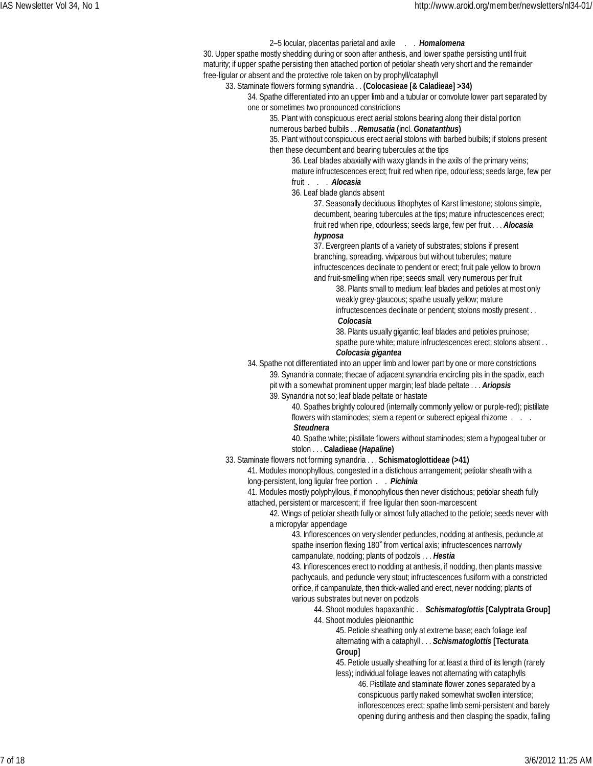### 2–5 locular, placentas parietal and axile . . *Homalomena*

30. Upper spathe mostly shedding during or soon after anthesis, and lower spathe persisting until fruit maturity; if upper spathe persisting then attached portion of petiolar sheath very short and the remainder free-ligular *or* absent and the protective role taken on by prophyll/cataphyll

### 33. Staminate flowers forming synandria . . **(Colocasieae [& Caladieae] >34)**

34. Spathe differentiated into an upper limb and a tubular or convolute lower part separated by one or sometimes two pronounced constrictions

35. Plant with conspicuous erect aerial stolons bearing along their distal portion

numerous barbed bulbils . . *Remusatia* **(**incl. *Gonatanthus***)**

35. Plant without conspicuous erect aerial stolons with barbed bulbils; if stolons present then these decumbent and bearing tubercules at the tips

36. Leaf blades abaxially with waxy glands in the axils of the primary veins;

mature infructescences erect; fruit red when ripe, odourless; seeds large, few per fruit . . . *Alocasia*

36. Leaf blade glands absent

37. Seasonally deciduous lithophytes of Karst limestone; stolons simple, decumbent, bearing tubercules at the tips; mature infructescences erect; fruit red when ripe, odourless; seeds large, few per fruit . . . *Alocasia hypnosa*

37. Evergreen plants of a variety of substrates; stolons if present branching, spreading. viviparous but without tuberules; mature infructescences declinate to pendent or erect; fruit pale yellow to brown and fruit-smelling when ripe; seeds small, very numerous per fruit

38. Plants small to medium; leaf blades and petioles at most only weakly grey-glaucous; spathe usually yellow; mature infructescences declinate or pendent; stolons mostly present . .

### *Colocasia*

38. Plants usually gigantic; leaf blades and petioles pruinose; spathe pure white; mature infructescences erect; stolons absent . . *Colocasia gigantea*

### 34. Spathe not differentiated into an upper limb and lower part by one or more constrictions

39. Synandria connate; thecae of adjacent synandria encircling pits in the spadix, each pit with a somewhat prominent upper margin; leaf blade peltate . . . *Ariopsis*

39. Synandria not so; leaf blade peltate or hastate

40. Spathes brightly coloured (internally commonly yellow or purple-red); pistillate flowers with staminodes; stem a repent or suberect epigeal rhizome . . .

### *Steudnera*

40. Spathe white; pistillate flowers without staminodes; stem a hypogeal tuber or stolon . . . **Caladieae (***Hapaline***)**

### 33. Staminate flowers not forming synandria . . . **Schismatoglottideae (>41)**

41. Modules monophyllous, congested in a distichous arrangement; petiolar sheath with a long-persistent, long ligular free portion . . *Pichinia*

41. Modules mostly polyphyllous, if monophyllous then never distichous; petiolar sheath fully attached, persistent or marcescent; if free ligular then soon-marcescent

42. Wings of petiolar sheath fully or almost fully attached to the petiole; seeds never with a micropylar appendage

43. Inflorescences on very slender peduncles, nodding at anthesis, peduncle at spathe insertion flexing 180˚ from vertical axis; infructescences narrowly campanulate, nodding; plants of podzols . . . *Hestia*

43. Inflorescences erect to nodding at anthesis, if nodding, then plants massive pachycauls, and peduncle very stout; infructescences fusiform with a constricted orifice, if campanulate, then thick-walled and erect, never nodding; plants of various substrates but never on podzols

44. Shoot modules hapaxanthic . . *Schismatoglottis* **[Calyptrata Group]** 44. Shoot modules pleionanthic

45. Petiole sheathing only at extreme base; each foliage leaf alternating with a cataphyll . . . *Schismatoglottis* **[Tecturata Group]**

45. Petiole usually sheathing for at least a third of its length (rarely less); individual foliage leaves not alternating with cataphylls

46. Pistillate and staminate flower zones separated by a conspicuous partly naked somewhat swollen interstice; inflorescences erect; spathe limb semi-persistent and barely opening during anthesis and then clasping the spadix, falling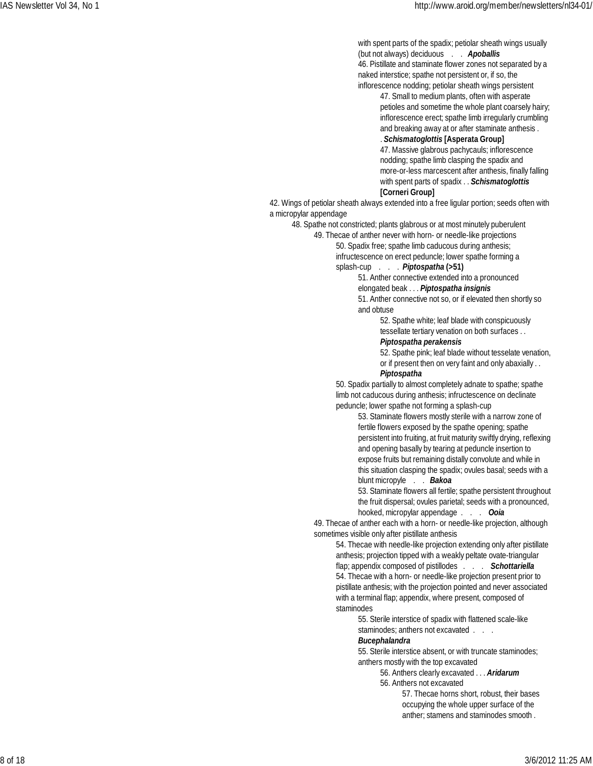with spent parts of the spadix; petiolar sheath wings usually (but not always) deciduous . . *Apoballis* 46. Pistillate and staminate flower zones not separated by a

naked interstice; spathe not persistent or, if so, the inflorescence nodding; petiolar sheath wings persistent

47. Small to medium plants, often with asperate petioles and sometime the whole plant coarsely hairy; inflorescence erect; spathe limb irregularly crumbling and breaking away at or after staminate anthesis .

### . *Schismatoglottis* **[Asperata Group]**

47. Massive glabrous pachycauls; inflorescence nodding; spathe limb clasping the spadix and more-or-less marcescent after anthesis, finally falling with spent parts of spadix . . *Schismatoglottis* **[Corneri Group]**

42. Wings of petiolar sheath always extended into a free ligular portion; seeds often with a micropylar appendage

48. Spathe not constricted; plants glabrous or at most minutely puberulent

49. Thecae of anther never with horn- or needle-like projections 50. Spadix free; spathe limb caducous during anthesis;

infructescence on erect peduncle; lower spathe forming a splash-cup . . . *Piptospatha* **(>51)**

51. Anther connective extended into a pronounced elongated beak . . . *Piptospatha insignis*

51. Anther connective not so, or if elevated then shortly so and obtuse

> 52. Spathe white; leaf blade with conspicuously tessellate tertiary venation on both surfaces . .

### *Piptospatha perakensis*

52. Spathe pink; leaf blade without tesselate venation, or if present then on very faint and only abaxially . .

### *Piptospatha*

50. Spadix partially to almost completely adnate to spathe; spathe limb not caducous during anthesis; infructescence on declinate peduncle; lower spathe not forming a splash-cup

> 53. Staminate flowers mostly sterile with a narrow zone of fertile flowers exposed by the spathe opening; spathe persistent into fruiting, at fruit maturity swiftly drying, reflexing and opening basally by tearing at peduncle insertion to expose fruits but remaining distally convolute and while in this situation clasping the spadix; ovules basal; seeds with a blunt micropyle . . *Bakoa*

53. Staminate flowers all fertile; spathe persistent throughout the fruit dispersal; ovules parietal; seeds with a pronounced, hooked, micropylar appendage . . . *Ooia*

49. Thecae of anther each with a horn- or needle-like projection, although sometimes visible only after pistillate anthesis

54. Thecae with needle-like projection extending only after pistillate anthesis; projection tipped with a weakly peltate ovate-triangular flap; appendix composed of pistillodes . . . *Schottariella* 54. Thecae with a horn- or needle-like projection present prior to pistillate anthesis; with the projection pointed and never associated with a terminal flap; appendix, where present, composed of staminodes

> 55. Sterile interstice of spadix with flattened scale-like staminodes; anthers not excavated . . .

### *Bucephalandra*

55. Sterile interstice absent, or with truncate staminodes; anthers mostly with the top excavated

56. Anthers clearly excavated . . . *Aridarum*

56. Anthers not excavated

57. Thecae horns short, robust, their bases occupying the whole upper surface of the anther; stamens and staminodes smooth .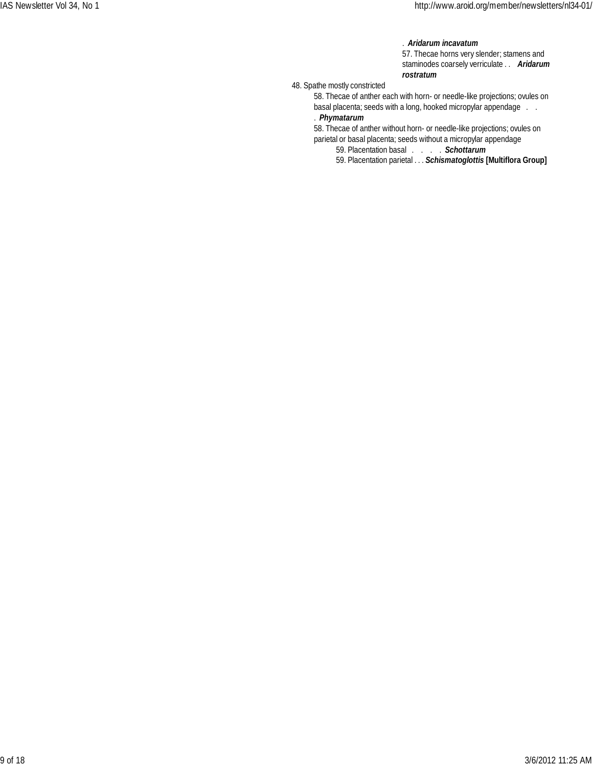### . *Aridarum incavatum*

57. Thecae horns very slender; stamens and staminodes coarsely verriculate . . *Aridarum rostratum*

48. Spathe mostly constricted

58. Thecae of anther each with horn- or needle-like projections; ovules on basal placenta; seeds with a long, hooked micropylar appendage . . . *Phymatarum*

58. Thecae of anther without horn- or needle-like projections; ovules on parietal or basal placenta; seeds without a micropylar appendage

59. Placentation basal . . . . *Schottarum*

59. Placentation parietal . . . *Schismatoglottis* **[Multiflora Group]**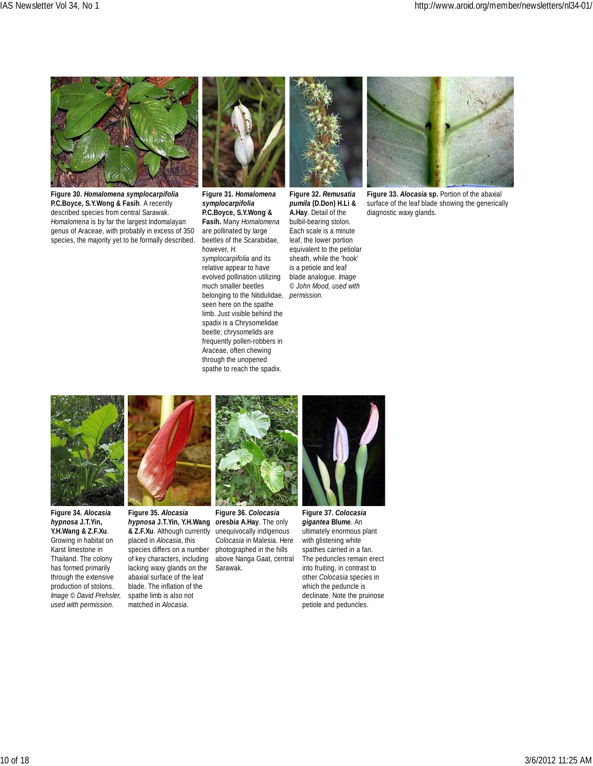

**Figure 30.** *Homalomena symplocarpifolia* **P.C.Boyce, S.Y.Wong & Fasih**. A recently described species from central Sarawak. *Homalomena* is by far the largest Indomalayan genus of Araceae, with probably in excess of 350 species, the majority yet to be formally described.



**Figure 31.** *Homalomena symplocarpifolia* **P.C.Boyce, S.Y.Wong & Fasih.** Many *Homalomena* are pollinated by large beetles of the Scarabidae, however, *H. symplocarpifolia* and its relative appear to have evolved pollination utilizing much smaller beetles belonging to the Nitidulidae, seen here on the spathe limb. Just visible behind the spadix is a Chrysomelidae beetle; chrysomelids are frequently pollen-robbers in Araceae, often chewing through the unopened spathe to reach the spadix.

**Figure 32.** *Remusatia pumila* **(D.Don) H.Li & A.Hay**. Detail of the bulbil-bearing stolon. Each scale is a minute leaf, the lower portion equivalent to the petiolar sheath, while the 'hook' is a petiole and leaf blade analogue. *Image © John Mood, used with permission.*



**Figure 33.** *Alocasia* **sp.** Portion of the abaxial surface of the leaf blade showing the generically diagnostic waxy glands.



**Figure 34.** *Alocasia hypnosa* **J.T.Yin, Y.H.Wang & Z.F.Xu**. Growing in habitat on Karst limestone in Thailand. The colony has formed primarily through the extensive production of stolons. *Image © David Prehsler, used with permission.*



**Figure 35.** *Alocasia hypnosa* **J.T.Yin, Y.H.Wang** *oresbia* **A.Hay**. The only **& Z.F.Xu**. Although currently placed in *Alocasia*, this species differs on a number of key characters, including lacking waxy glands on the abaxial surface of the leaf blade. The inflation of the spathe limb is also not matched in *Alocasia*.



**Figure 36.** *Colocasia* unequivocally indigenous *Colocasia* in Malesia. Here photographed in the hills above Nanga Gaat, central Sarawak.



**Figure 37.** *Colocasia gigantea* **Blume**. An ultimately enormous plant with glistening white spathes carried in a fan. The peduncles remain erect into fruiting, in contrast to other *Colocasia* species in which the peduncle is declinate. Note the pruinose petiole and peduncles.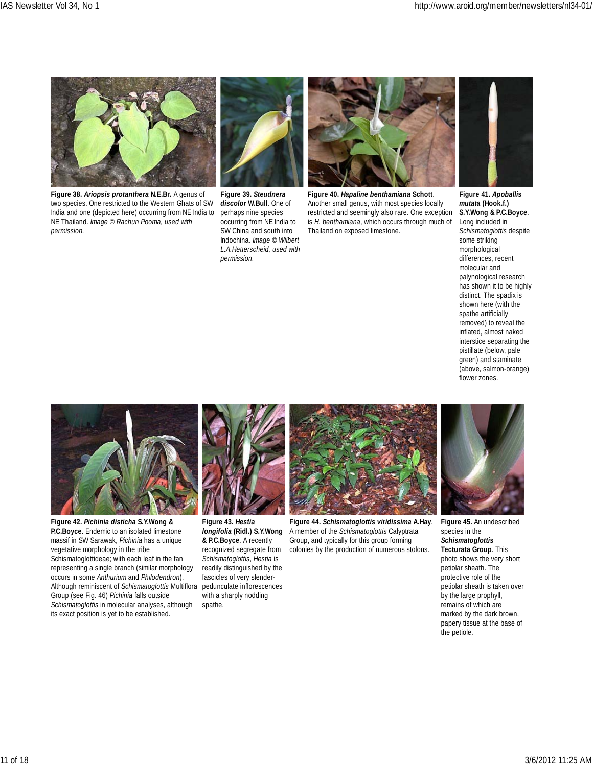

**Figure 38.** *Ariopsis protanthera* **N.E.Br***.* A genus of two species. One restricted to the Western Ghats of SW India and one (depicted here) occurring from NE India to NE Thailand. *Image © Rachun Pooma, used with permission.*



**Figure 39.** *Steudnera discolor* **W.Bull**. One of perhaps nine species occurring from NE India to SW China and south into Indochina. *Image © Wilbert L.A.Hetterscheid, used with permission.*



**Figure 40.** *Hapaline benthamiana* **Schott**. Another small genus, with most species locally restricted and seemingly also rare. One exception is *H. benthamiana*, which occurs through much of Thailand on exposed limestone.



**Figure 41.** *Apoballis mutata* **(Hook.f.) S.Y.Wong & P.C.Boyce**. Long included in *Schismatoglottis* despite some striking morphological differences, recent molecular and palynological research has shown it to be highly distinct. The spadix is shown here (with the spathe artificially removed) to reveal the inflated, almost naked interstice separating the pistillate (below, pale green) and staminate (above, salmon-orange) flower zones.



**Figure 42.** *Pichinia disticha* **S.Y.Wong & P.C.Boyce**. Endemic to an isolated limestone massif in SW Sarawak, *Pichinia* has a unique vegetative morphology in the tribe Schismatoglottideae; with each leaf in the fan representing a single branch (similar morphology occurs in some *Anthurium* and *Philodendron*). Although reminiscent of *Schismatoglottis* Multiflora Group (see Fig. 46) *Pichinia* falls outside *Schismatoglottis* in molecular analyses, although its exact position is yet to be established.



**Figure 43.** *Hestia longifolia* **(Ridl.) S.Y.Wong & P.C.Boyce**. A recently recognized segregate from *Schismatoglottis*, *Hestia* is readily distinguished by the fascicles of very slenderpedunculate inflorescences with a sharply nodding spathe.



**Figure 44.** *Schismatoglottis viridissima* **A.Hay***.* A member of the *Schismatoglottis* Calyptrata Group, and typically for this group forming colonies by the production of numerous stolons.



**Figure 45.** An undescribed species in the *Schismatoglottis* **Tecturata Group**. This photo shows the very short petiolar sheath. The protective role of the petiolar sheath is taken over by the large prophyll, remains of which are marked by the dark brown, papery tissue at the base of the petiole.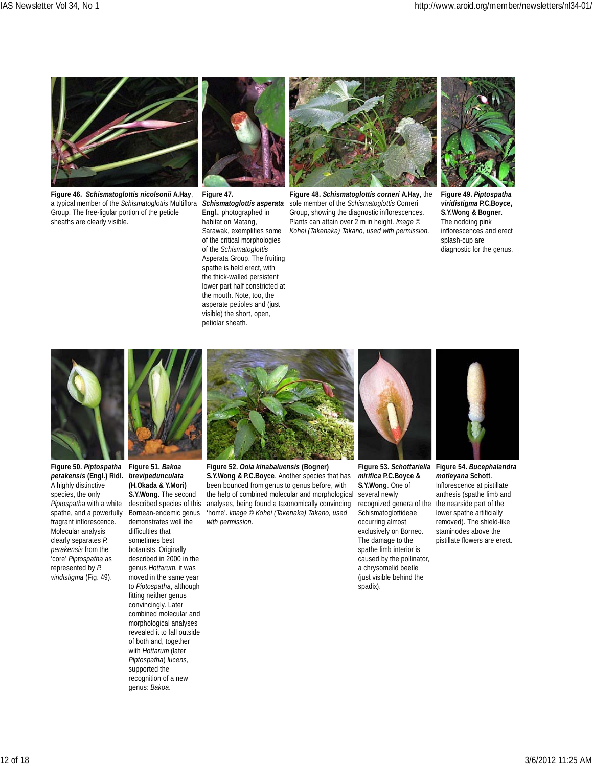

**Figure 46.** *Schismatoglottis nicolsonii* **A.Hay**, a typical member of the *Schismatoglottis* Multiflora Group. The free-ligular portion of the petiole sheaths are clearly visible.



**Figure 47.** *Schismatoglottis asperata* **Engl.**, photographed in habitat on Matang, Sarawak, exemplifies some of the critical morphologies of the *Schismatoglottis* Asperata Group. The fruiting spathe is held erect, with the thick-walled persistent lower part half constricted at the mouth. Note, too, the asperate petioles and (just visible) the short, open, petiolar sheath.



**Figure 48.** *Schismatoglottis corneri* **A.Hay**, the sole member of the *Schismatoglottis* Corneri Group, showing the diagnostic inflorescences. Plants can attain over 2 m in height. *Image © Kohei (Takenaka) Takano, used with permission.*



**Figure 49.** *Piptospatha viridistigma* **P.C.Boyce, S.Y.Wong & Bogner**. The nodding pink inflorescences and erect splash-cup are diagnostic for the genus.



**Figure 50.** *Piptospatha* **Figure 51.** *Bakoa perakensis* **(Engl.) Ridl.** *brevipedunculata* A highly distinctive species, the only *Piptospatha* with a white spathe, and a powerfully fragrant inflorescence. Molecular analysis clearly separates *P. perakensis* from the 'core' *Piptospatha* as represented by *P. viridistigma* (Fig. 49).



**(H.Okada & Y.Mori) S.Y.Wong**. The second described species of this Bornean-endemic genus demonstrates well the difficulties that sometimes best botanists. Originally described in 2000 in the genus *Hottarum*, it was moved in the same year to *Piptospatha*, although fitting neither genus convincingly. Later combined molecular and morphological analyses revealed it to fall outside of both and, together with *Hottarum* (later *Piptospatha*) *lucens*, supported the recognition of a new genus: *Bakoa*.



**Figure 52.** *Ooia kinabaluensis* **(Bogner) S.Y.Wong & P.C.Boyce**. Another species that has been bounced from genus to genus before, with the help of combined molecular and morphological analyses, being found a taxonomically convincing 'home'. *Image © Kohei (Takenaka) Takano, used with permission.*

*mirifica* **P.C.Boyce & S.Y.Wong**. One of several newly recognized genera of the the nearside part of the Schismatoglottideae occurring almost exclusively on Borneo. The damage to the spathe limb interior is caused by the pollinator, a chrysomelid beetle (just visible behind the spadix).



**Figure 53.** *Schottariella* **Figure 54.** *Bucephalandra motleyana* **Schott**. Inflorescence at pistillate anthesis (spathe limb and lower spathe artificially removed). The shield-like staminodes above the pistillate flowers are erect.